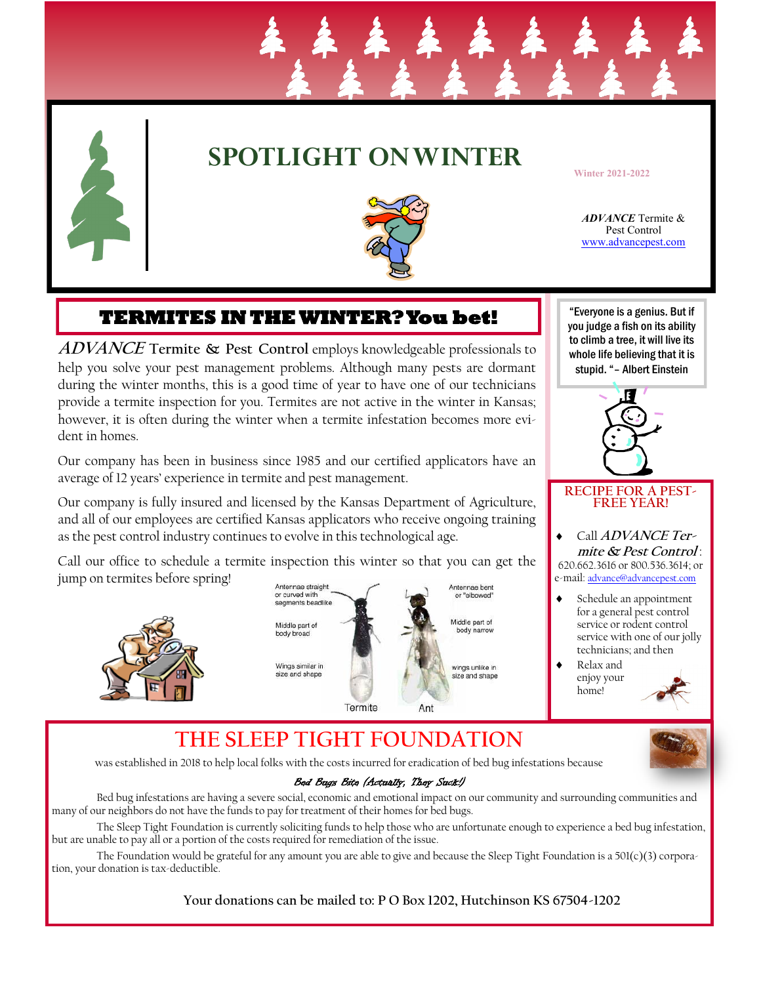

# **SPOTLIGHT ON WINTER**

**Winter 2021-2022**

*ADVANCE* Termite & Pest Control www.advancepest.com

## **TERMITES IN THE WINTER? You bet!**

**ADVANCE Termite & Pest Control** employs knowledgeable professionals to help you solve your pest management problems. Although many pests are dormant during the winter months, this is a good time of year to have one of our technicians provide a termite inspection for you. Termites are not active in the winter in Kansas; however, it is often during the winter when a termite infestation becomes more evident in homes.

Our company has been in business since 1985 and our certified applicators have an average of 12 years' experience in termite and pest management.

Our company is fully insured and licensed by the Kansas Department of Agriculture, and all of our employees are certified Kansas applicators who receive ongoing training as the pest control industry continues to evolve in this technological age.

Call our office to schedule a termite inspection this winter so that you can get the jump on termites before spring!











#### **RECIPE FOR A PEST-FREE YEAR!**

 Call **ADVANCE Termite & Pest Control** : 620.662.3616 or 800.536.3614; or e-mail: advance@advancepest.com

- Schedule an appointment for a general pest control service or rodent control service with one of our jolly technicians; and then
	- Relax and enjoy your home!



# **THE SLEEP TIGHT FOUNDATION**

was established in 2018 to help local folks with the costs incurred for eradication of bed bug infestations because

## Bed Bugs Bite (Actually, They Suck!)

Bed bug infestations are having a severe social, economic and emotional impact on our community and surrounding communities and many of our neighbors do not have the funds to pay for treatment of their homes for bed bugs.

The Sleep Tight Foundation is currently soliciting funds to help those who are unfortunate enough to experience a bed bug infestation, but are unable to pay all or a portion of the costs required for remediation of the issue.

The Foundation would be grateful for any amount you are able to give and because the Sleep Tight Foundation is a  $501(c)(3)$  corporation, your donation is tax-deductible.

**Your donations can be mailed to: P O Box 1202, Hutchinson KS 67504-1202**